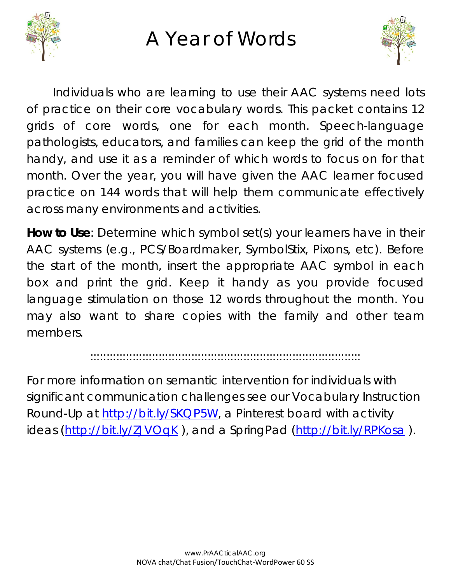

## A Year of Words



Individuals who are learning to use their AAC systems need lots of practice on their core vocabulary words. This packet contains 12 grids of core words, one for each month. Speech-language pathologists, educators, and families can keep the grid of the month handy, and use it as a reminder of which words to focus on for that month. Over the year, you will have given the AAC learner focused practice on 144 words that will help them communicate effectively across many environments and activities.

**How to Use**: Determine which symbol set(s) your learners have in their AAC systems (e.g., PCS/Boardmaker, SymbolStix, Pixons, etc). Before the start of the month, insert the appropriate AAC symbol in each box and print the grid. Keep it handy as you provide focused language stimulation on those 12 words throughout the month. You may also want to share copies with the family and other team members.

:::::::::::::::::::::::::::::::::::::::::::::::::::::::::::::::::::::::::::::::::::

For more information on semantic intervention for individuals with significant communication challenges see our Vocabulary Instruction Round-Up at [http://bit.ly/SKQP5W,](http://bit.ly/SKQP5W) a Pinterest board with activity ideas [\(http://bit.ly/ZJVOqK](http://bit.ly/ZJVOqK)), and a SpringPad [\(http://bit.ly/RPKosa](http://bit.ly/RPKosa)).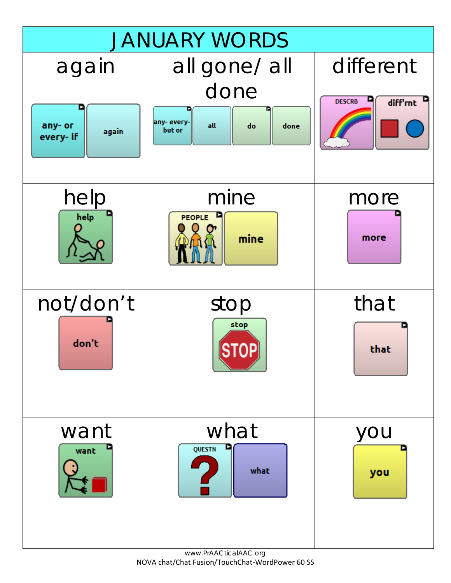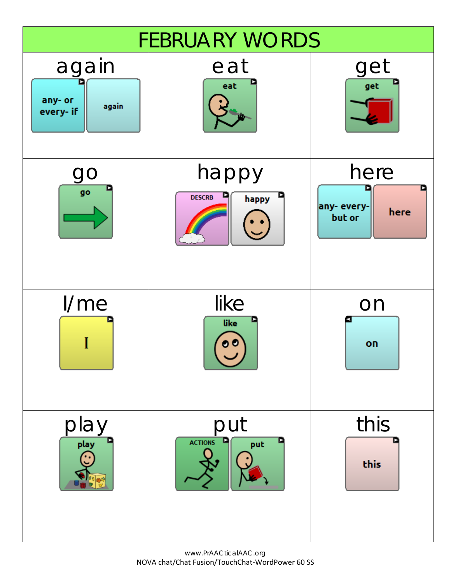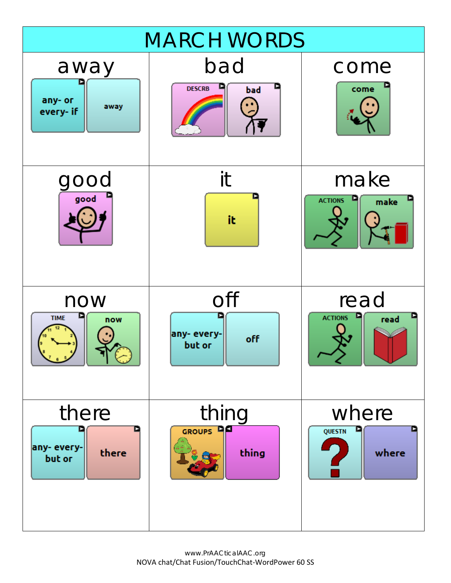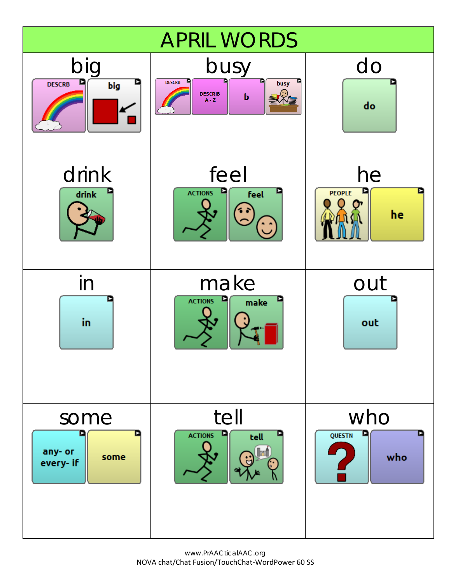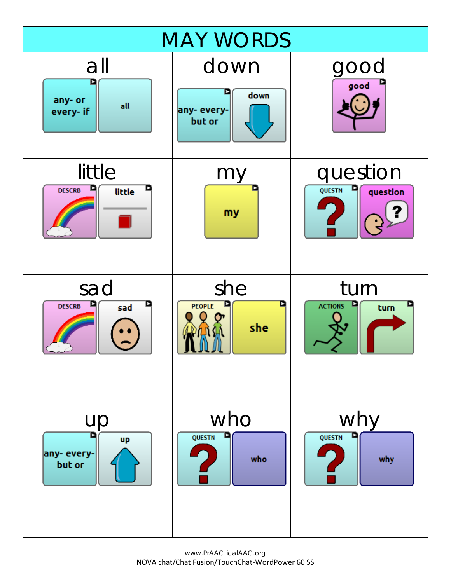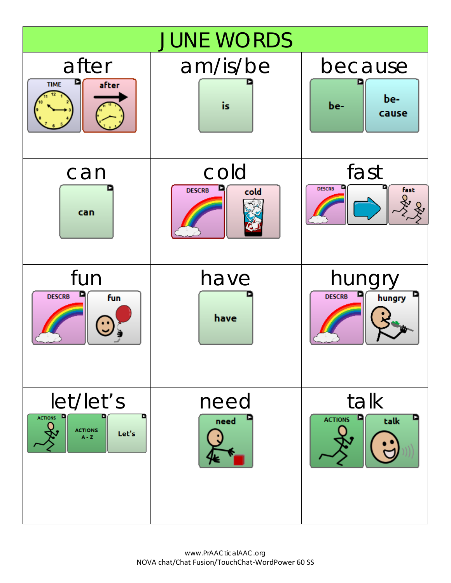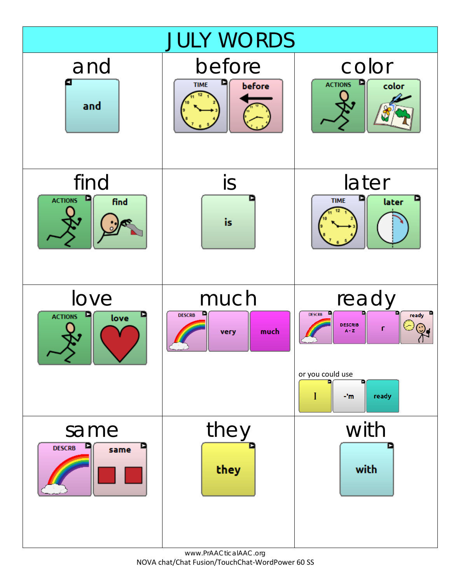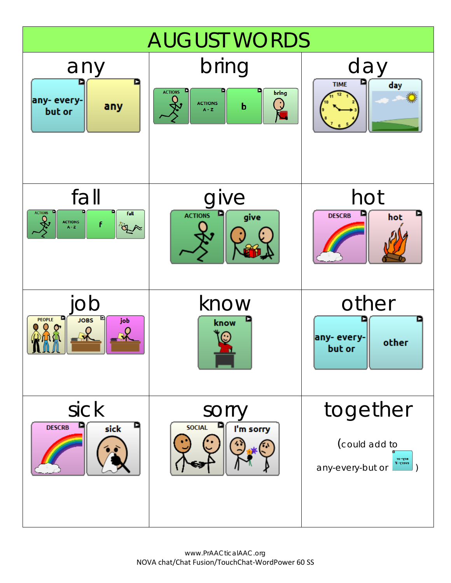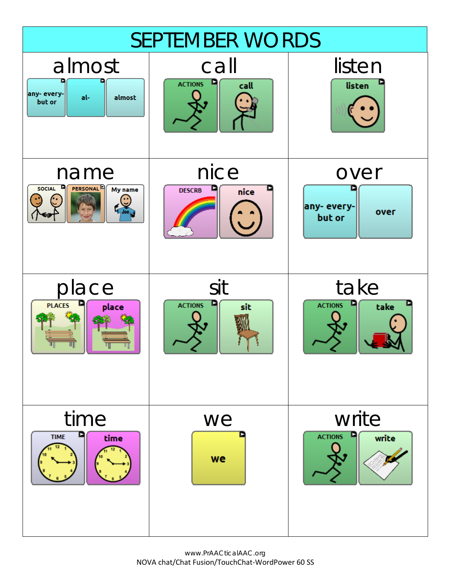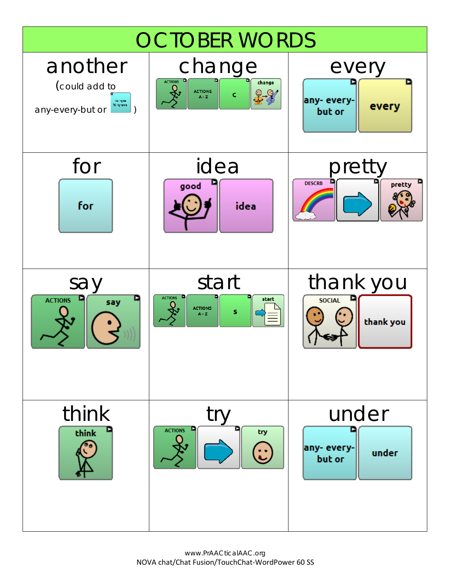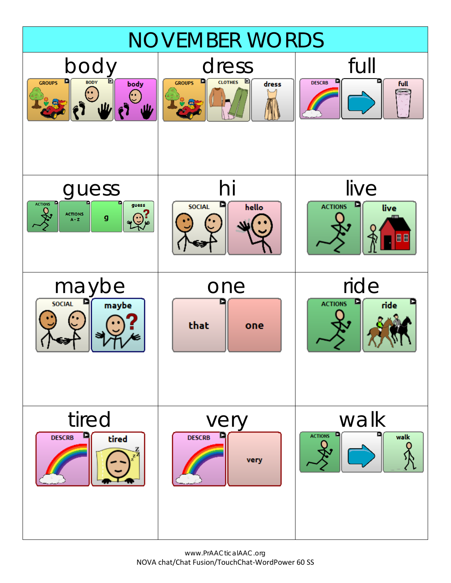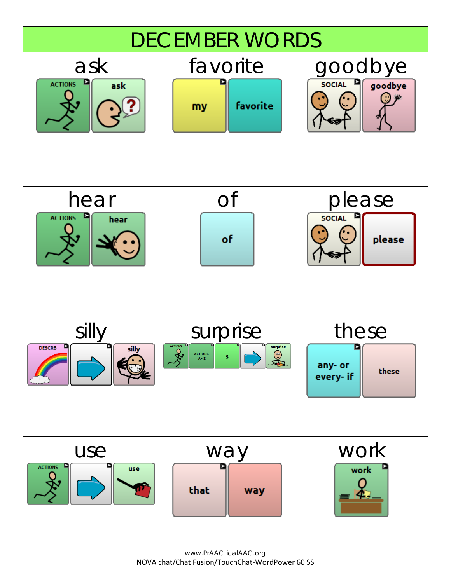